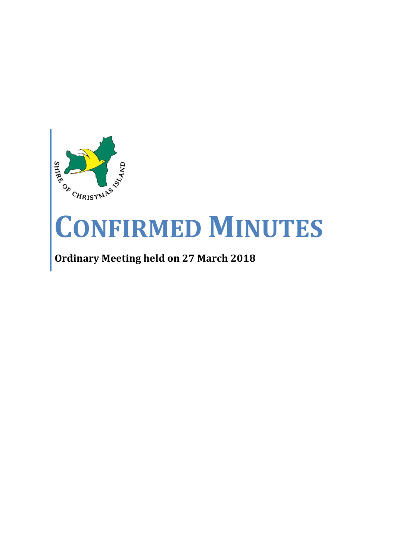

# **CONFIRMED MINUTES**

## **Ordinary Meeting held on 27 March 2018**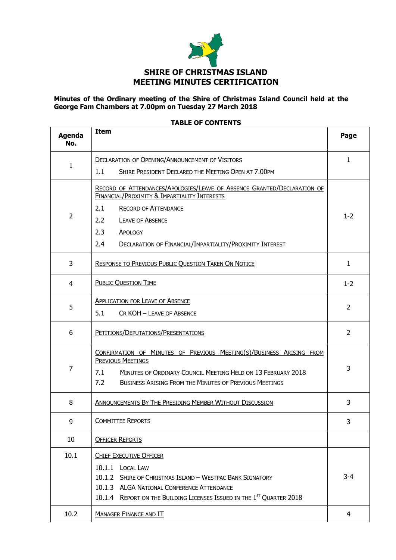

#### **Minutes of the Ordinary meeting of the Shire of Christmas Island Council held at the George Fam Chambers at 7.00pm on Tuesday 27 March 2018**

| <b>Agenda</b><br>No. | <b>Item</b>                                                                                                                                                             | Page           |
|----------------------|-------------------------------------------------------------------------------------------------------------------------------------------------------------------------|----------------|
| 1                    | <b>DECLARATION OF OPENING/ANNOUNCEMENT OF VISITORS</b>                                                                                                                  | $\mathbf{1}$   |
|                      | 1.1<br>SHIRE PRESIDENT DECLARED THE MEETING OPEN AT 7.00PM                                                                                                              |                |
|                      | RECORD OF ATTENDANCES/APOLOGIES/LEAVE OF ABSENCE GRANTED/DECLARATION OF<br>FINANCIAL/PROXIMITY & IMPARTIALITY INTERESTS                                                 |                |
|                      | 2.1<br><b>RECORD OF ATTENDANCE</b>                                                                                                                                      |                |
| 2                    | 2.2<br><b>LEAVE OF ABSENCE</b>                                                                                                                                          | $1 - 2$        |
|                      | 2.3<br><b>APOLOGY</b>                                                                                                                                                   |                |
|                      | 2.4<br>DECLARATION OF FINANCIAL/IMPARTIALITY/PROXIMITY INTEREST                                                                                                         |                |
| 3                    | RESPONSE TO PREVIOUS PUBLIC QUESTION TAKEN ON NOTICE                                                                                                                    | $\mathbf{1}$   |
| 4                    | <b>PUBLIC QUESTION TIME</b>                                                                                                                                             | $1 - 2$        |
|                      | <b>APPLICATION FOR LEAVE OF ABSENCE</b>                                                                                                                                 |                |
| 5                    | 5.1<br>CR KOH - LEAVE OF ABSENCE                                                                                                                                        | 2              |
| 6                    | PETITIONS/DEPUTATIONS/PRESENTATIONS                                                                                                                                     | $\overline{2}$ |
| $\overline{7}$       | CONFIRMATION OF MINUTES OF PREVIOUS MEETING(S)/BUSINESS ARISING FROM<br><b>PREVIOUS MEETINGS</b><br>7.1<br>MINUTES OF ORDINARY COUNCIL MEETING HELD ON 13 FEBRUARY 2018 | 3              |
|                      | 7.2<br><b>BUSINESS ARISING FROM THE MINUTES OF PREVIOUS MEETINGS</b>                                                                                                    |                |
| 8                    | <b>ANNOUNCEMENTS BY THE PRESIDING MEMBER WITHOUT DISCUSSION</b>                                                                                                         | 3              |
| 9                    | <b>COMMITTEE REPORTS</b>                                                                                                                                                | 3              |
| 10                   | <b>OFFICER REPORTS</b>                                                                                                                                                  |                |
| 10.1                 | <b>CHIEF EXECUTIVE OFFICER</b>                                                                                                                                          |                |
|                      | <b>LOCAL LAW</b><br>10.1.1                                                                                                                                              |                |
|                      | 10.1.2 SHIRE OF CHRISTMAS ISLAND - WESTPAC BANK SIGNATORY                                                                                                               | $3 - 4$        |
|                      | 10.1.3 ALGA NATIONAL CONFERENCE ATTENDANCE                                                                                                                              |                |
|                      | 10.1.4 REPORT ON THE BUILDING LICENSES ISSUED IN THE 1ST QUARTER 2018                                                                                                   |                |
| 10.2                 | <b>MANAGER FINANCE AND IT</b>                                                                                                                                           | 4              |

#### **TABLE OF CONTENTS**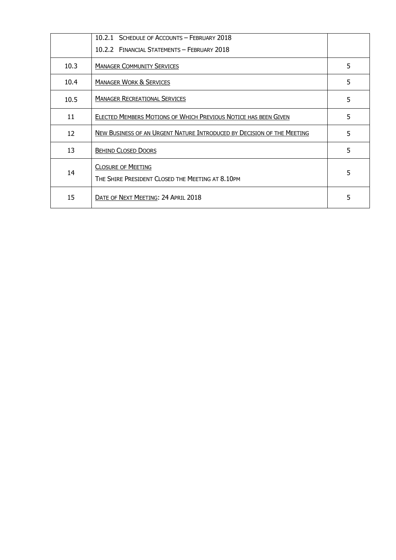|      | 10.2.1 SCHEDULE OF ACCOUNTS - FEBRUARY 2018                                   |   |
|------|-------------------------------------------------------------------------------|---|
|      | 10.2.2 FINANCIAL STATEMENTS - FEBRUARY 2018                                   |   |
| 10.3 | <b>MANAGER COMMUNITY SERVICES</b>                                             | 5 |
| 10.4 | <b>MANAGER WORK &amp; SERVICES</b>                                            | 5 |
| 10.5 | <b>MANAGER RECREATIONAL SERVICES</b>                                          | 5 |
| 11   | ELECTED MEMBERS MOTIONS OF WHICH PREVIOUS NOTICE HAS BEEN GIVEN               | 5 |
| 12   | NEW BUSINESS OF AN URGENT NATURE INTRODUCED BY DECISION OF THE MEETING        | 5 |
| 13   | <b>BEHIND CLOSED DOORS</b>                                                    | 5 |
| 14   | <b>CLOSURE OF MEETING</b><br>THE SHIRE PRESIDENT CLOSED THE MEETING AT 8.10PM | 5 |
| 15   | DATE OF NEXT MEETING: 24 APRIL 2018                                           | 5 |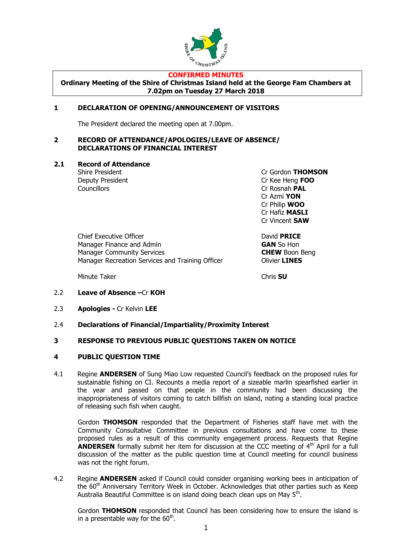

#### **CONFIRMED MINUTES**

**Ordinary Meeting of the Shire of Christmas Island held at the George Fam Chambers at 7.02pm on Tuesday 27 March 2018**

#### **1 DECLARATION OF OPENING/ANNOUNCEMENT OF VISITORS**

The President declared the meeting open at 7.00pm.

#### **2 RECORD OF ATTENDANCE/APOLOGIES/LEAVE OF ABSENCE/ DECLARATIONS OF FINANCIAL INTEREST**

**2.1 Record of Attendance**

Councillors Cr Rosnah **PAL**

Shire President Cr Gordon **THOMSON** Deputy President Cr Kee Heng **FOO** Cr Azmi **YON** Cr Philip **WOO** Cr Hafiz **MASLI** Cr Vincent **SAW**

Chief Executive Officer **David PRICE** Manager Finance and Admin **GAN** So Hon Manager Community Services **CHEW** Boon Beng Manager Recreation Services and Training Officer **CHANGS** 

Minute Taker Chris **SU**

- 2.2 **Leave of Absence –**Cr **KOH**
- 2.3 **Apologies -** Cr Kelvin **LEE**
- 2.4 **Declarations of Financial/Impartiality/Proximity Interest**

#### **3 RESPONSE TO PREVIOUS PUBLIC QUESTIONS TAKEN ON NOTICE**

#### **4 PUBLIC QUESTION TIME**

4.1 Regine **ANDERSEN** of Sung Miao Low requested Council's feedback on the proposed rules for sustainable fishing on CI. Recounts a media report of a sizeable marlin spearfished earlier in the year and passed on that people in the community had been discussing the inappropriateness of visitors coming to catch billfish on island, noting a standing local practice of releasing such fish when caught.

Gordon **THOMSON** responded that the Department of Fisheries staff have met with the Community Consultative Committee in previous consultations and have come to these proposed rules as a result of this community engagement process. Requests that Regine **ANDERSEN** formally submit her item for discussion at the CCC meeting of 4<sup>th</sup> April for a full discussion of the matter as the public question time at Council meeting for council business was not the right forum.

4.2 Regine **ANDERSEN** asked if Council could consider organising working bees in anticipation of the  $60<sup>th</sup>$  Anniversary Territory Week in October. Acknowledges that other parties such as Keep Australia Beautiful Committee is on island doing beach clean ups on May 5<sup>th</sup>.

Gordon **THOMSON** responded that Council has been considering how to ensure the island is in a presentable way for the  $60<sup>th</sup>$ .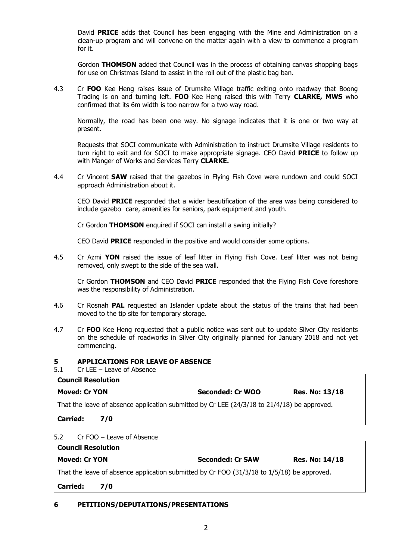David **PRICE** adds that Council has been engaging with the Mine and Administration on a clean-up program and will convene on the matter again with a view to commence a program for it.

Gordon **THOMSON** added that Council was in the process of obtaining canvas shopping bags for use on Christmas Island to assist in the roll out of the plastic bag ban.

4.3 Cr **FOO** Kee Heng raises issue of Drumsite Village traffic exiting onto roadway that Boong Trading is on and turning left. **FOO** Kee Heng raised this with Terry **CLARKE, MWS** who confirmed that its 6m width is too narrow for a two way road.

Normally, the road has been one way. No signage indicates that it is one or two way at present.

Requests that SOCI communicate with Administration to instruct Drumsite Village residents to turn right to exit and for SOCI to make appropriate signage. CEO David **PRICE** to follow up with Manger of Works and Services Terry **CLARKE.**

4.4 Cr Vincent **SAW** raised that the gazebos in Flying Fish Cove were rundown and could SOCI approach Administration about it.

CEO David **PRICE** responded that a wider beautification of the area was being considered to include gazebo care, amenities for seniors, park equipment and youth.

Cr Gordon **THOMSON** enquired if SOCI can install a swing initially?

CEO David **PRICE** responded in the positive and would consider some options.

4.5 Cr Azmi **YON** raised the issue of leaf litter in Flying Fish Cove. Leaf litter was not being removed, only swept to the side of the sea wall.

Cr Gordon **THOMSON** and CEO David **PRICE** responded that the Flying Fish Cove foreshore was the responsibility of Administration.

- 4.6 Cr Rosnah **PAL** requested an Islander update about the status of the trains that had been moved to the tip site for temporary storage.
- 4.7 Cr **FOO** Kee Heng requested that a public notice was sent out to update Silver City residents on the schedule of roadworks in Silver City originally planned for January 2018 and not yet commencing.

#### **5 APPLICATIONS FOR LEAVE OF ABSENCE**

5.1 Cr LEE – Leave of Absence

| <b>Council Resolution</b>                                                                   |     |                  |                       |  |  |
|---------------------------------------------------------------------------------------------|-----|------------------|-----------------------|--|--|
| <b>Moved: Cr YON</b>                                                                        |     | Seconded: Cr WOO | <b>Res. No: 13/18</b> |  |  |
| That the leave of absence application submitted by Cr LEE (24/3/18 to 21/4/18) be approved. |     |                  |                       |  |  |
| <b>Carried:</b>                                                                             | 7/0 |                  |                       |  |  |

#### 5.2 Cr FOO – Leave of Absence

| <b>Council Resolution</b>                                                                  |     |                         |                       |  |
|--------------------------------------------------------------------------------------------|-----|-------------------------|-----------------------|--|
| <b>Moved: Cr YON</b>                                                                       |     | <b>Seconded: Cr SAW</b> | <b>Res. No: 14/18</b> |  |
| That the leave of absence application submitted by Cr FOO (31/3/18 to 1/5/18) be approved. |     |                         |                       |  |
| <b>Carried:</b>                                                                            | 7/0 |                         |                       |  |

#### **6 PETITIONS/DEPUTATIONS/PRESENTATIONS**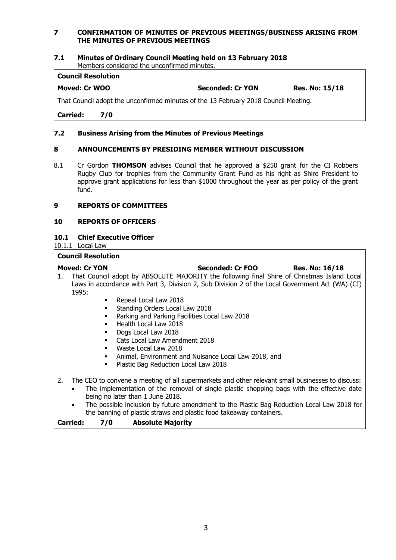#### **7 CONFIRMATION OF MINUTES OF PREVIOUS MEETINGS/BUSINESS ARISING FROM THE MINUTES OF PREVIOUS MEETINGS**

### **7.1 Minutes of Ordinary Council Meeting held on 13 February 2018**

Members considered the unconfirmed minutes.

#### **Council Resolution**

**Moved: Cr WOO Seconded: Cr YON Res. No: 15/18**

That Council adopt the unconfirmed minutes of the 13 February 2018 Council Meeting.

**Carried: 7/0**

#### **7.2 Business Arising from the Minutes of Previous Meetings**

#### **8 ANNOUNCEMENTS BY PRESIDING MEMBER WITHOUT DISCUSSION**

8.1 Cr Gordon **THOMSON** advises Council that he approved a \$250 grant for the CI Robbers Rugby Club for trophies from the Community Grant Fund as his right as Shire President to approve grant applications for less than \$1000 throughout the year as per policy of the grant fund.

#### **9 REPORTS OF COMMITTEES**

#### **10 REPORTS OF OFFICERS**

#### **10.1 Chief Executive Officer**

10.1.1 Local Law

#### **Council Resolution**

- **Moved: Cr YON Seconded: Cr FOO Res. No: 16/18** 1. That Council adopt by ABSOLUTE MAJORITY the following final Shire of Christmas Island Local Laws in accordance with Part 3, Division 2, Sub Division 2 of the Local Government Act (WA) (CI) 1995:
	- Repeal Local Law 2018
	- Standing Orders Local Law 2018
	- Parking and Parking Facilities Local Law 2018
	- **Health Local Law 2018**
	- **Dogs Local Law 2018**
	- Cats Local Law Amendment 2018
	- Waste Local Law 2018
	- Animal, Environment and Nuisance Local Law 2018, and
	- Plastic Bag Reduction Local Law 2018
- 2. The CEO to convene a meeting of all supermarkets and other relevant small businesses to discuss:
	- The implementation of the removal of single plastic shopping bags with the effective date being no later than 1 June 2018.
	- The possible inclusion by future amendment to the Plastic Bag Reduction Local Law 2018 for the banning of plastic straws and plastic food takeaway containers.

**Carried: 7/0 Absolute Majority**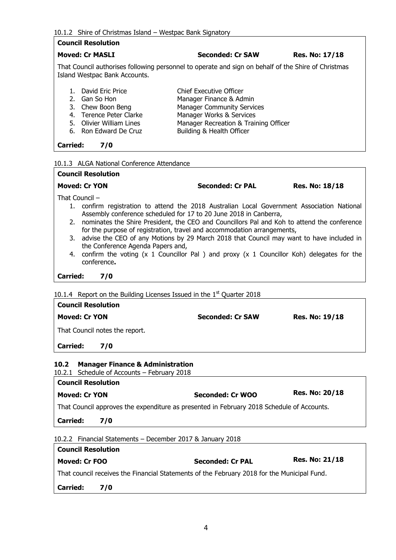#### 10.1.2 Shire of Christmas Island – Westpac Bank Signatory

#### **Council Resolution**

#### **Moved: Cr MASLI Seconded: Cr SAW Res. No: 17/18**

That Council authorises following personnel to operate and sign on behalf of the Shire of Christmas Island Westpac Bank Accounts.

1. David Eric Price Chief Executive Officer 2. Gan So Hon Manager Finance & Admin 3. Chew Boon Beng Manager Community Services 4. Terence Peter Clarke Manager Works & Services<br>
5. Olivier William Lines Manager Recreation & Train 5. Olivier William Lines<br>
6. Ron Edward De Cruz<br>
Building & Health Officer Building & Health Officer

**Carried: 7/0**

**Council Resolution**

#### 10.1.3 ALGA National Conference Attendance

|                 | <b>Seconded: Cr PAL</b><br><b>Moved: Cr YON</b>                                                                                                                           | <b>Res. No: 18/18</b> |
|-----------------|---------------------------------------------------------------------------------------------------------------------------------------------------------------------------|-----------------------|
|                 | That Council $-$                                                                                                                                                          |                       |
|                 | 1. confirm registration to attend the 2018 Australian Local Government Association National<br>Assembly conference scheduled for 17 to 20 June 2018 in Canberra,          |                       |
|                 | 2. nominates the Shire President, the CEO and Councillors Pal and Koh to attend the conference<br>for the purpose of registration, travel and accommodation arrangements, |                       |
|                 | 3. advise the CEO of any Motions by 29 March 2018 that Council may want to have included in<br>the Conference Agenda Papers and,                                          |                       |
|                 | 4. confirm the voting (x 1 Councillor Pal) and proxy (x 1 Councillor Koh) delegates for the<br>conference.                                                                |                       |
| <b>Carried:</b> | 7/0                                                                                                                                                                       |                       |
|                 | $0.1.4$ Report on the Building Licenses Issued in the 1 <sup>st</sup> Ouarter 2018                                                                                        |                       |

#### 10.1.4 Report on the Building Licenses Issued in the  $1<sup>st</sup>$  Quarter 2018

| <b>Council Resolution</b>                           |                         |                       |  |  |  |
|-----------------------------------------------------|-------------------------|-----------------------|--|--|--|
| <b>Moved: Cr YON</b>                                | <b>Seconded: Cr SAW</b> | <b>Res. No: 19/18</b> |  |  |  |
| That Council notes the report.                      |                         |                       |  |  |  |
| <b>Carried:</b><br>7/0                              |                         |                       |  |  |  |
| <b>Manager Finance &amp; Administration</b><br>10.2 |                         |                       |  |  |  |

10.2.1 Schedule of Accounts – February 2018

| <b>Council Resolution</b>                                                                   |                         |                       |  |  |
|---------------------------------------------------------------------------------------------|-------------------------|-----------------------|--|--|
| <b>Moved: Cr YON</b>                                                                        | Seconded: Cr WOO        | <b>Res. No: 20/18</b> |  |  |
| That Council approves the expenditure as presented in February 2018 Schedule of Accounts.   |                         |                       |  |  |
| <b>Carried:</b><br>7/0                                                                      |                         |                       |  |  |
| 10.2.2 Financial Statements - December 2017 & January 2018                                  |                         |                       |  |  |
| <b>Council Resolution</b>                                                                   |                         |                       |  |  |
| Moved: Cr FOO                                                                               | <b>Seconded: Cr PAL</b> | <b>Res. No: 21/18</b> |  |  |
| That council receives the Financial Statements of the February 2018 for the Municipal Fund. |                         |                       |  |  |
| <b>Carried:</b><br>7/0                                                                      |                         |                       |  |  |